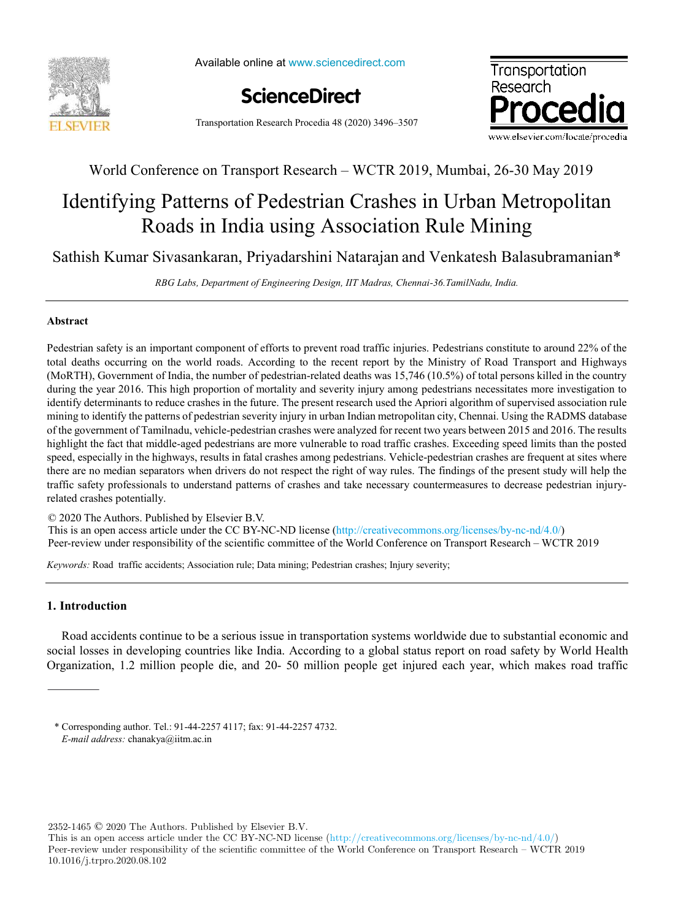





Transportation Research Procedia 48 (2020) 3496–3507



# World Conference on Transport Research – WCTR 2019, Mumbai, 26-30 May 2019

# Identifying Patterns of Pedestrian Crashes in Urban Metropolitan Roads in India using Association Rule Mining

Sathish Kumar Sivasankaran, Priyadarshini Natarajan and Venkatesh Balasubramanian\*

*RBG Labs, Department of Engineering Design, IIT Madras, Chennai-36.TamilNadu, India.*

# **Abstract**

Pedestrian safety is an important component of efforts to prevent road traffic injuries. Pedestrians constitute to around 22% of the total deaths occurring on the world roads. According to the recent report by the Ministry of Road Transport and Highways (MoRTH), Government of India, the number of pedestrian-related deaths was 15,746 (10.5%) of total persons killed in the country during the year 2016. This high proportion of mortality and severity injury among pedestrians necessitates more investigation to identify determinants to reduce crashes in the future. The present research used the Apriori algorithm of supervised association rule mining to identify the patterns of pedestrian severity injury in urban Indian metropolitan city, Chennai. Using the RADMS database of the government of Tamilnadu, vehicle-pedestrian crashes were analyzed for recent two years between 2015 and 2016. The results highlight the fact that middle-aged pedestrians are more vulnerable to road traffic crashes. Exceeding speed limits than the posted speed, especially in the highways, results in fatal crashes among pedestrians. Vehicle-pedestrian crashes are frequent at sites where there are no median separators when drivers do not respect the right of way rules. The findings of the present study will help the traffic safety professionals to understand patterns of crashes and take necessary countermeasures to decrease pedestrian injuryrelated crashes potentially.

© 2020 The Authors. Published by Elsevier B.V.

This is an open access article under the CC BY-NC-ND license (http://creativecommons.org/licenses/by-nc-nd/4.0/) Peer-review under responsibility of the scientific committee of the World Conference on Transport Research – WCTR 2019

*Keywords:* Road traffic accidents; Association rule; Data mining; Pedestrian crashes; Injury severity;

# **1. Introduction**

Road accidents continue to be a serious issue in transportation systems worldwide due to substantial economic and social losses in developing countries like India. According to a global status report on road safety by World Health Organization, 1.2 million people die, and 20- 50 million people get injured each year, which makes road traffic

\* Corresponding author. Tel.: 91-44-2257 4117; fax: 91-44-2257 4732. *E-mail address:* chanakya@iitm.ac.in

2352-1465 © 2020 The Authors. Published by Elsevier B.V.

This is an open access article under the CC BY-NC-ND license (http://creativecommons.org/licenses/by-nc-nd/4.0/) Peer-review under responsibility of the scientific committee of the World Conference on Transport Research – WCTR 2019 10.1016/j.trpro.2020.08.102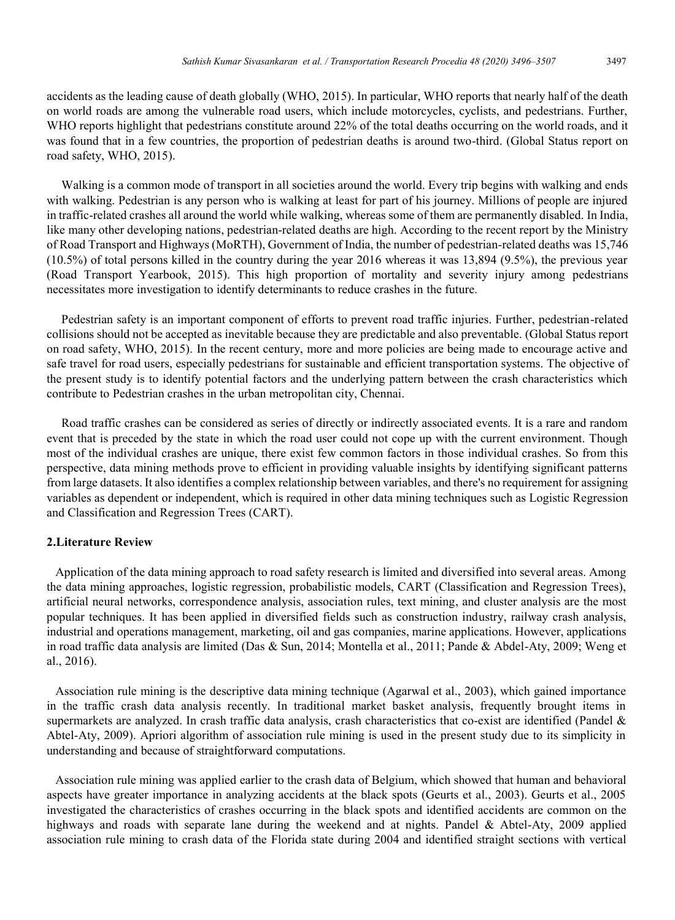accidents as the leading cause of death globally (WHO, 2015). In particular, WHO reports that nearly half of the death on world roads are among the vulnerable road users, which include motorcycles, cyclists, and pedestrians. Further, WHO reports highlight that pedestrians constitute around 22% of the total deaths occurring on the world roads, and it was found that in a few countries, the proportion of pedestrian deaths is around two-third. (Global Status report on road safety, WHO, 2015).

Walking is a common mode of transport in all societies around the world. Every trip begins with walking and ends with walking. Pedestrian is any person who is walking at least for part of his journey. Millions of people are injured in traffic-related crashes all around the world while walking, whereas some of them are permanently disabled. In India, like many other developing nations, pedestrian-related deaths are high. According to the recent report by the Ministry of Road Transport and Highways (MoRTH), Government of India, the number of pedestrian-related deaths was 15,746 (10.5%) of total persons killed in the country during the year 2016 whereas it was 13,894 (9.5%), the previous year (Road Transport Yearbook, 2015). This high proportion of mortality and severity injury among pedestrians necessitates more investigation to identify determinants to reduce crashes in the future.

Pedestrian safety is an important component of efforts to prevent road traffic injuries. Further, pedestrian-related collisions should not be accepted as inevitable because they are predictable and also preventable. (Global Status report on road safety, WHO, 2015). In the recent century, more and more policies are being made to encourage active and safe travel for road users, especially pedestrians for sustainable and efficient transportation systems. The objective of the present study is to identify potential factors and the underlying pattern between the crash characteristics which contribute to Pedestrian crashes in the urban metropolitan city, Chennai.

Road traffic crashes can be considered as series of directly or indirectly associated events. It is a rare and random event that is preceded by the state in which the road user could not cope up with the current environment. Though most of the individual crashes are unique, there exist few common factors in those individual crashes. So from this perspective, data mining methods prove to efficient in providing valuable insights by identifying significant patterns from large datasets. It also identifies a complex relationship between variables, and there's no requirement for assigning variables as dependent or independent, which is required in other data mining techniques such as Logistic Regression and Classification and Regression Trees (CART).

# **2.Literature Review**

Application of the data mining approach to road safety research is limited and diversified into several areas. Among the data mining approaches, logistic regression, probabilistic models, CART (Classification and Regression Trees), artificial neural networks, correspondence analysis, association rules, text mining, and cluster analysis are the most popular techniques. It has been applied in diversified fields such as construction industry, railway crash analysis, industrial and operations management, marketing, oil and gas companies, marine applications. However, applications in road traffic data analysis are limited (Das & Sun, 2014; Montella et al., 2011; Pande & Abdel-Aty, 2009; Weng et al., 2016).

Association rule mining is the descriptive data mining technique (Agarwal et al., 2003), which gained importance in the traffic crash data analysis recently. In traditional market basket analysis, frequently brought items in supermarkets are analyzed. In crash traffic data analysis, crash characteristics that co-exist are identified (Pandel & Abtel-Aty, 2009). Apriori algorithm of association rule mining is used in the present study due to its simplicity in understanding and because of straightforward computations.

Association rule mining was applied earlier to the crash data of Belgium, which showed that human and behavioral aspects have greater importance in analyzing accidents at the black spots (Geurts et al., 2003). Geurts et al., 2005 investigated the characteristics of crashes occurring in the black spots and identified accidents are common on the highways and roads with separate lane during the weekend and at nights. Pandel & Abtel-Aty, 2009 applied association rule mining to crash data of the Florida state during 2004 and identified straight sections with vertical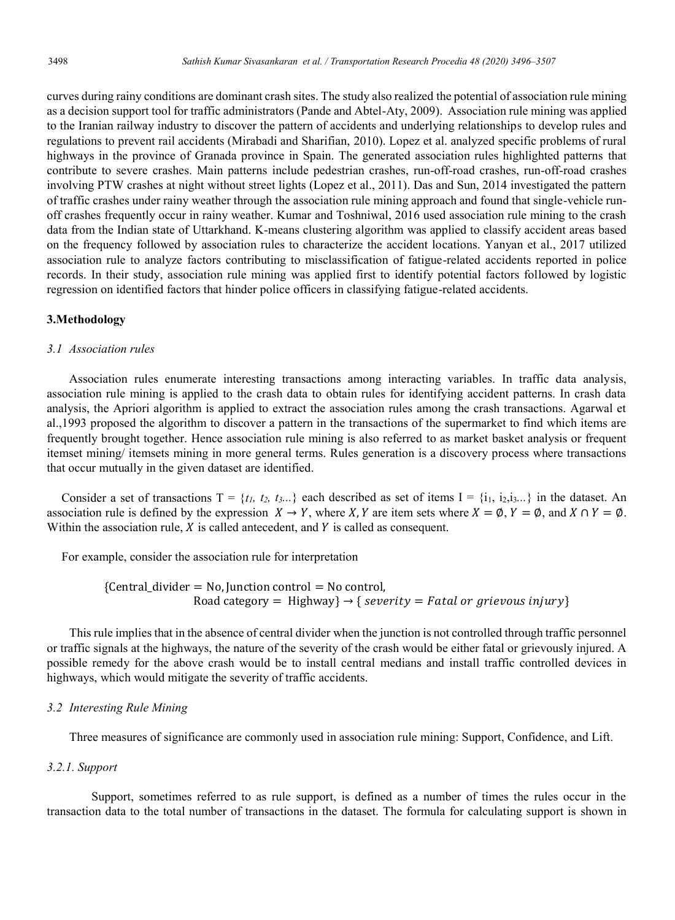curves during rainy conditions are dominant crash sites. The study also realized the potential of association rule mining as a decision support tool for traffic administrators (Pande and Abtel-Aty, 2009). Association rule mining was applied to the Iranian railway industry to discover the pattern of accidents and underlying relationships to develop rules and regulations to prevent rail accidents (Mirabadi and Sharifian, 2010). Lopez et al. analyzed specific problems of rural highways in the province of Granada province in Spain. The generated association rules highlighted patterns that contribute to severe crashes. Main patterns include pedestrian crashes, run-off-road crashes, run-off-road crashes involving PTW crashes at night without street lights (Lopez et al., 2011). Das and Sun, 2014 investigated the pattern of traffic crashes under rainy weather through the association rule mining approach and found that single-vehicle runoff crashes frequently occur in rainy weather. Kumar and Toshniwal, 2016 used association rule mining to the crash data from the Indian state of Uttarkhand. K-means clustering algorithm was applied to classify accident areas based on the frequency followed by association rules to characterize the accident locations. Yanyan et al., 2017 utilized association rule to analyze factors contributing to misclassification of fatigue-related accidents reported in police records. In their study, association rule mining was applied first to identify potential factors followed by logistic regression on identified factors that hinder police officers in classifying fatigue-related accidents.

### **3.Methodology**

#### *3.1 Association rules*

Association rules enumerate interesting transactions among interacting variables. In traffic data analysis, association rule mining is applied to the crash data to obtain rules for identifying accident patterns. In crash data analysis, the Apriori algorithm is applied to extract the association rules among the crash transactions. Agarwal et al.,1993 proposed the algorithm to discover a pattern in the transactions of the supermarket to find which items are frequently brought together. Hence association rule mining is also referred to as market basket analysis or frequent itemset mining/ itemsets mining in more general terms. Rules generation is a discovery process where transactions that occur mutually in the given dataset are identified.

Consider a set of transactions  $T = \{t_l, t_2, t_3...\}$  each described as set of items  $I = \{i_1, i_2, i_3...\}$  in the dataset. An association rule is defined by the expression  $X \to Y$ , where X, Y are item sets where  $X = \emptyset$ ,  $Y = \emptyset$ , and  $X \cap Y = \emptyset$ . Within the association rule,  $X$  is called antecedent, and  $Y$  is called as consequent.

For example, consider the association rule for interpretation

{Central\_divider = No, Junction control = No control,  
Read category = Highway} 
$$
\rightarrow
$$
 { *severity = Fatal or grievous injury* }

This rule implies that in the absence of central divider when the junction is not controlled through traffic personnel or traffic signals at the highways, the nature of the severity of the crash would be either fatal or grievously injured. A possible remedy for the above crash would be to install central medians and install traffic controlled devices in highways, which would mitigate the severity of traffic accidents.

#### *3.2 Interesting Rule Mining*

Three measures of significance are commonly used in association rule mining: Support, Confidence, and Lift.

#### *3.2.1. Support*

Support, sometimes referred to as rule support, is defined as a number of times the rules occur in the transaction data to the total number of transactions in the dataset. The formula for calculating support is shown in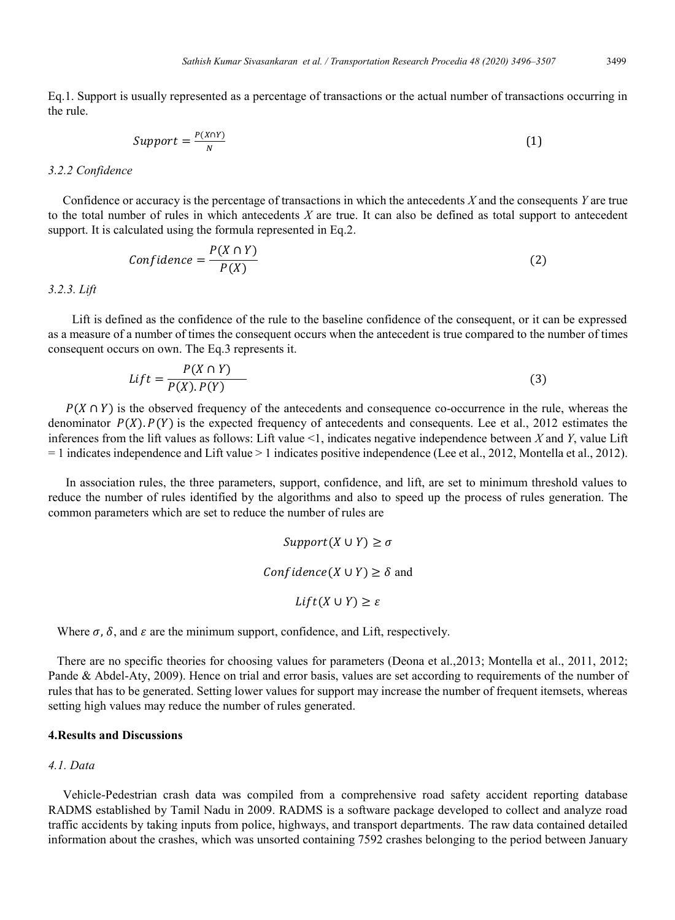Eq.1. Support is usually represented as a percentage of transactions or the actual number of transactions occurring in the rule.

$$
Support = \frac{P(X \cap Y)}{N} \tag{1}
$$

#### *3.2.2 Confidence*

Confidence or accuracy is the percentage of transactions in which the antecedents *X* and the consequents *Y* are true to the total number of rules in which antecedents *X* are true. It can also be defined as total support to antecedent support. It is calculated using the formula represented in Eq.2.

$$
Confidence = \frac{P(X \cap Y)}{P(X)}
$$
\n(2)

#### *3.2.3. Lift*

 Lift is defined as the confidence of the rule to the baseline confidence of the consequent, or it can be expressed as a measure of a number of times the consequent occurs when the antecedent is true compared to the number of times consequent occurs on own. The Eq.3 represents it.

$$
Lift = \frac{P(X \cap Y)}{P(X).P(Y)}\tag{3}
$$

 $P(X \cap Y)$  is the observed frequency of the antecedents and consequence co-occurrence in the rule, whereas the denominator  $P(X)$ .  $P(Y)$  is the expected frequency of antecedents and consequents. Lee et al., 2012 estimates the inferences from the lift values as follows: Lift value <1, indicates negative independence between *X* and *Y*, value Lift  $=$  1 indicates independence and Lift value  $>$  1 indicates positive independence (Lee et al., 2012, Montella et al., 2012).

In association rules, the three parameters, support, confidence, and lift, are set to minimum threshold values to reduce the number of rules identified by the algorithms and also to speed up the process of rules generation. The common parameters which are set to reduce the number of rules are

$$
Support(X \cup Y) \ge \sigma
$$
  
Confidence(X \cup Y) \ge \delta and  
Lift(X \cup Y) \ge \varepsilon

Where  $\sigma$ ,  $\delta$ , and  $\varepsilon$  are the minimum support, confidence, and Lift, respectively.

There are no specific theories for choosing values for parameters (Deona et al.,2013; Montella et al., 2011, 2012; Pande & Abdel-Aty, 2009). Hence on trial and error basis, values are set according to requirements of the number of rules that has to be generated. Setting lower values for support may increase the number of frequent itemsets, whereas setting high values may reduce the number of rules generated.

#### **4.Results and Discussions**

# *4.1. Data*

Vehicle-Pedestrian crash data was compiled from a comprehensive road safety accident reporting database RADMS established by Tamil Nadu in 2009. RADMS is a software package developed to collect and analyze road traffic accidents by taking inputs from police, highways, and transport departments. The raw data contained detailed information about the crashes, which was unsorted containing 7592 crashes belonging to the period between January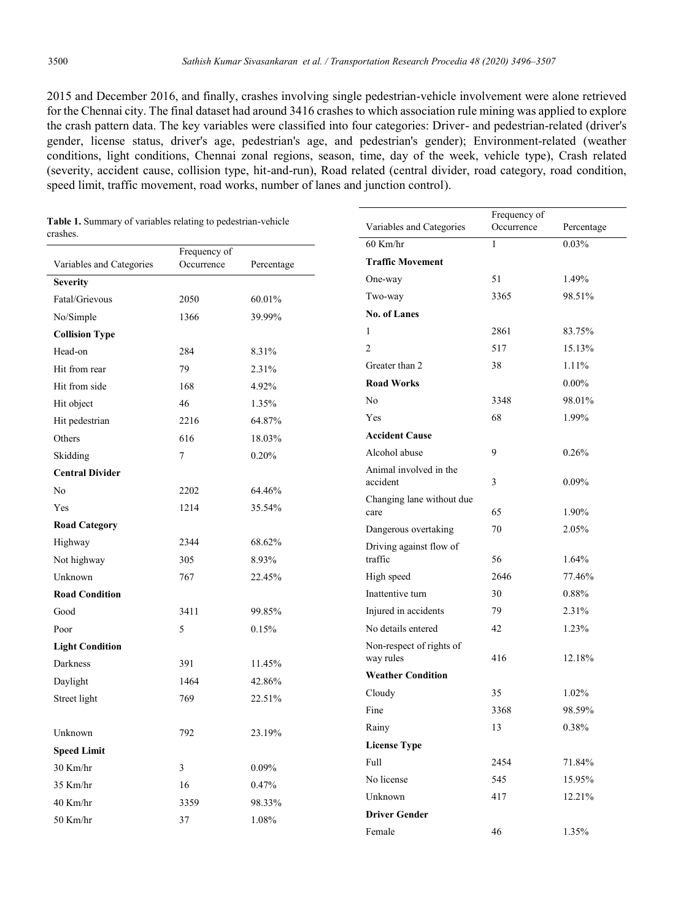2015 and December 2016, and finally, crashes involving single pedestrian-vehicle involvement were alone retrieved for the Chennai city. The final dataset had around 3416 crashes to which association rule mining was applied to explore the crash pattern data. The key variables were classified into four categories: Driver- and pedestrian-related (driver's gender, license status, driver's age, pedestrian's age, and pedestrian's gender); Environment-related (weather conditions, light conditions, Chennai zonal regions, season, time, day of the week, vehicle type), Crash related (severity, accident cause, collision type, hit-and-run), Road related (central divider, road category, road condition, speed limit, traffic movement, road works, number of lanes and junction control).

| Table 1. Summary of variables relating to pedestrian-vehicle |              |            | Frequency of                      |              |            |
|--------------------------------------------------------------|--------------|------------|-----------------------------------|--------------|------------|
| crashes.                                                     |              |            | Variables and Categories          | Occurrence   | Percentage |
|                                                              | Frequency of |            | 60 Km/hr                          | $\mathbf{1}$ | 0.03%      |
| Variables and Categories                                     | Occurrence   | Percentage | <b>Traffic Movement</b>           |              |            |
| <b>Severity</b>                                              |              |            | One-way                           | 51           | 1.49%      |
| Fatal/Grievous                                               | 2050         | 60.01%     | Two-way                           | 3365         | 98.51%     |
| No/Simple                                                    | 1366         | 39.99%     | <b>No. of Lanes</b>               |              |            |
| <b>Collision Type</b>                                        |              |            | $\mathbf{1}$                      | 2861         | 83.75%     |
| Head-on                                                      | 284          | 8.31%      | $\overline{2}$                    | 517          | 15.13%     |
| Hit from rear                                                | 79           | 2.31%      | Greater than 2                    | 38           | 1.11%      |
| Hit from side                                                | 168          | 4.92%      | <b>Road Works</b>                 |              | $0.00\%$   |
| Hit object                                                   | 46           | 1.35%      | N <sub>0</sub>                    | 3348         | 98.01%     |
| Hit pedestrian                                               | 2216         | 64.87%     | Yes                               | 68           | 1.99%      |
| Others                                                       | 616          | 18.03%     | <b>Accident Cause</b>             |              |            |
| Skidding                                                     | $\tau$       | 0.20%      | Alcohol abuse                     | 9            | 0.26%      |
| <b>Central Divider</b>                                       |              |            | Animal involved in the            |              |            |
| No                                                           | 2202         | 64.46%     | accident                          | 3            | 0.09%      |
| Yes                                                          | 1214         | 35.54%     | Changing lane without due<br>care | 65           | 1.90%      |
| <b>Road Category</b>                                         |              |            | Dangerous overtaking              | 70           | 2.05%      |
| Highway                                                      | 2344         | 68.62%     | Driving against flow of           |              |            |
| Not highway                                                  | 305          | 8.93%      | traffic                           | 56           | 1.64%      |
| Unknown                                                      | 767          | 22.45%     | High speed                        | 2646         | 77.46%     |
| <b>Road Condition</b>                                        |              |            | Inattentive turn                  | 30           | 0.88%      |
| Good                                                         | 3411         | 99.85%     | Injured in accidents              | 79           | 2.31%      |
| Poor                                                         | 5            | 0.15%      | No details entered                | 42           | 1.23%      |
| <b>Light Condition</b>                                       |              |            | Non-respect of rights of          |              |            |
| Darkness                                                     | 391          | 11.45%     | way rules                         | 416          | 12.18%     |
| Daylight                                                     | 1464         | 42.86%     | <b>Weather Condition</b>          |              |            |
| Street light                                                 | 769          | 22.51%     | Cloudy                            | 35           | 1.02%      |
|                                                              |              |            | Fine                              | 3368         | 98.59%     |
| Unknown                                                      | 792          | 23.19%     | Rainy                             | 13           | 0.38%      |
| <b>Speed Limit</b>                                           |              |            | <b>License Type</b>               |              |            |
| 30 Km/hr                                                     | 3            | 0.09%      | Full                              | 2454         | 71.84%     |
| 35 Km/hr                                                     | 16           | 0.47%      | No license                        | 545          | 15.95%     |
| 40 Km/hr                                                     | 3359         | 98.33%     | Unknown                           | 417          | 12.21%     |
| 50 Km/hr                                                     | 37           | 1.08%      | <b>Driver Gender</b>              |              |            |
|                                                              |              |            | Female                            | 46           | 1.35%      |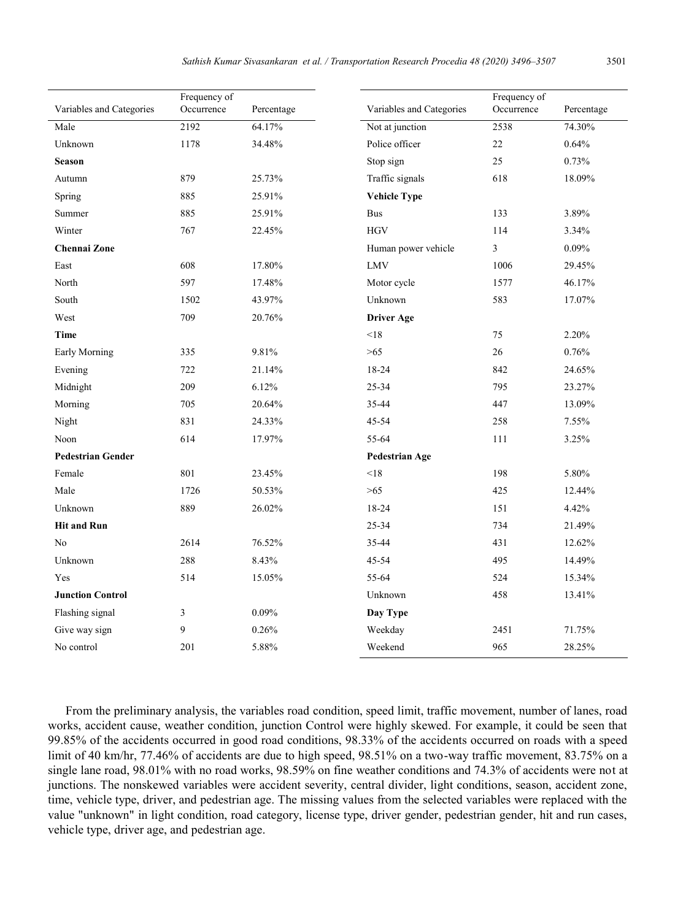| Variables and Categories | Frequency of<br>Occurrence | Percentage | Variables and Categories | Frequency of<br>Occurrence | Percentage |
|--------------------------|----------------------------|------------|--------------------------|----------------------------|------------|
| Male                     | 2192                       | 64.17%     | Not at junction          | 2538                       | 74.30%     |
| Unknown                  | 1178                       | 34.48%     | Police officer           | 22                         | 0.64%      |
| <b>Season</b>            |                            |            | Stop sign                | 25                         | 0.73%      |
| Autumn                   | 879                        | 25.73%     | Traffic signals          | 618                        | 18.09%     |
| Spring                   | 885                        | 25.91%     | <b>Vehicle Type</b>      |                            |            |
| Summer                   | 885                        | 25.91%     | <b>Bus</b>               | 133                        | 3.89%      |
| Winter                   | 767                        | 22.45%     | <b>HGV</b>               | 114                        | 3.34%      |
| <b>Chennai Zone</b>      |                            |            | Human power vehicle      | 3                          | 0.09%      |
| East                     | 608                        | 17.80%     | <b>LMV</b>               | 1006                       | 29.45%     |
| North                    | 597                        | 17.48%     | Motor cycle              | 1577                       | 46.17%     |
| South                    | 1502                       | 43.97%     | Unknown                  | 583                        | 17.07%     |
| West                     | 709                        | 20.76%     | <b>Driver Age</b>        |                            |            |
| <b>Time</b>              |                            |            | < 18                     | 75                         | 2.20%      |
| Early Morning            | 335                        | 9.81%      | $>65$                    | 26                         | 0.76%      |
| Evening                  | 722                        | 21.14%     | 18-24                    | 842                        | 24.65%     |
| Midnight                 | 209                        | 6.12%      | 25-34                    | 795                        | 23.27%     |
| Morning                  | 705                        | 20.64%     | 35-44                    | 447                        | 13.09%     |
| Night                    | 831                        | 24.33%     | 45-54                    | 258                        | 7.55%      |
| Noon                     | 614                        | 17.97%     | 55-64                    | 111                        | 3.25%      |
| <b>Pedestrian Gender</b> |                            |            | <b>Pedestrian Age</b>    |                            |            |
| Female                   | 801                        | 23.45%     | < 18                     | 198                        | 5.80%      |
| Male                     | 1726                       | 50.53%     | $>65$                    | 425                        | 12.44%     |
| Unknown                  | 889                        | 26.02%     | 18-24                    | 151                        | 4.42%      |
| <b>Hit and Run</b>       |                            |            | 25-34                    | 734                        | 21.49%     |
| N <sub>o</sub>           | 2614                       | 76.52%     | 35-44                    | 431                        | 12.62%     |
| Unknown                  | 288                        | 8.43%      | 45-54                    | 495                        | 14.49%     |
| Yes                      | 514                        | 15.05%     | 55-64                    | 524                        | 15.34%     |
| <b>Junction Control</b>  |                            |            | Unknown                  | 458                        | 13.41%     |
| Flashing signal          | 3                          | 0.09%      | Day Type                 |                            |            |
| Give way sign            | 9                          | 0.26%      | Weekday                  | 2451                       | 71.75%     |
| No control               | 201                        | 5.88%      | Weekend                  | 965                        | 28.25%     |

From the preliminary analysis, the variables road condition, speed limit, traffic movement, number of lanes, road works, accident cause, weather condition, junction Control were highly skewed. For example, it could be seen that 99.85% of the accidents occurred in good road conditions, 98.33% of the accidents occurred on roads with a speed limit of 40 km/hr, 77.46% of accidents are due to high speed, 98.51% on a two-way traffic movement, 83.75% on a single lane road, 98.01% with no road works, 98.59% on fine weather conditions and 74.3% of accidents were not at junctions. The nonskewed variables were accident severity, central divider, light conditions, season, accident zone, time, vehicle type, driver, and pedestrian age. The missing values from the selected variables were replaced with the value "unknown" in light condition, road category, license type, driver gender, pedestrian gender, hit and run cases, vehicle type, driver age, and pedestrian age.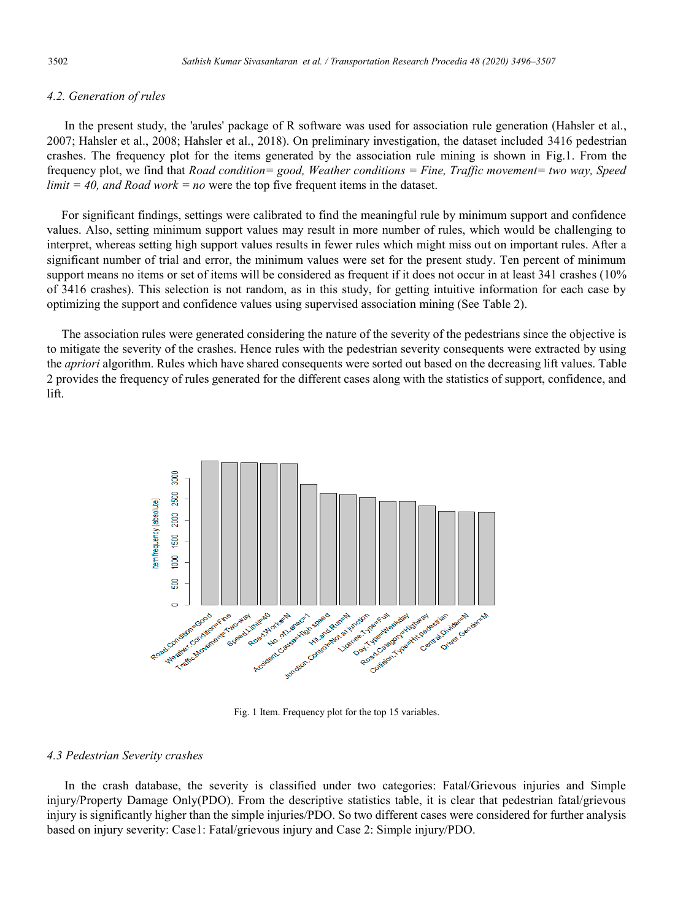In the present study, the 'arules' package of R software was used for association rule generation (Hahsler et al., 2007; Hahsler et al., 2008; Hahsler et al., 2018). On preliminary investigation, the dataset included 3416 pedestrian crashes. The frequency plot for the items generated by the association rule mining is shown in Fig.1. From the frequency plot, we find that *Road condition= good, Weather conditions = Fine, Traffic movement= two way, Speed limit = 40, and Road work = no* were the top five frequent items in the dataset.

For significant findings, settings were calibrated to find the meaningful rule by minimum support and confidence values. Also, setting minimum support values may result in more number of rules, which would be challenging to interpret, whereas setting high support values results in fewer rules which might miss out on important rules. After a significant number of trial and error, the minimum values were set for the present study. Ten percent of minimum support means no items or set of items will be considered as frequent if it does not occur in at least 341 crashes (10%) of 3416 crashes). This selection is not random, as in this study, for getting intuitive information for each case by optimizing the support and confidence values using supervised association mining (See Table 2).

The association rules were generated considering the nature of the severity of the pedestrians since the objective is to mitigate the severity of the crashes. Hence rules with the pedestrian severity consequents were extracted by using the *apriori* algorithm. Rules which have shared consequents were sorted out based on the decreasing lift values. Table 2 provides the frequency of rules generated for the different cases along with the statistics of support, confidence, and lift.



Fig. 1 Item. Frequency plot for the top 15 variables.

# *4.3 Pedestrian Severity crashes*

In the crash database, the severity is classified under two categories: Fatal/Grievous injuries and Simple injury/Property Damage Only(PDO). From the descriptive statistics table, it is clear that pedestrian fatal/grievous injury is significantly higher than the simple injuries/PDO. So two different cases were considered for further analysis based on injury severity: Case1: Fatal/grievous injury and Case 2: Simple injury/PDO.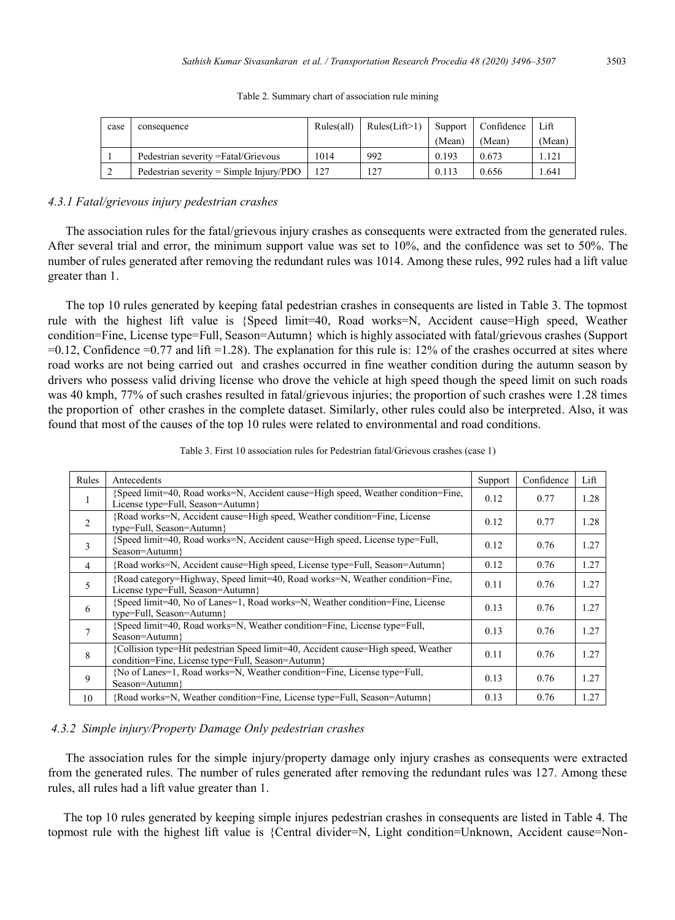| case | consequence                             | Rules(all) | Rules(Lift>1) | Support | Confidence | Lift   |
|------|-----------------------------------------|------------|---------------|---------|------------|--------|
|      |                                         |            |               | (Mean)  | (Mean)     | (Mean) |
|      | Pedestrian severity = Fatal/Grievous    | 1014       | 992           | 0.193   | 0.673      | .121   |
|      | Pedestrian severity = Simple Injury/PDO |            | 127           | 0.113   | 0.656      | .641   |

Table 2. Summary chart of association rule mining

#### *4.3.1 Fatal/grievous injury pedestrian crashes*

The association rules for the fatal/grievous injury crashes as consequents were extracted from the generated rules. After several trial and error, the minimum support value was set to 10%, and the confidence was set to 50%. The number of rules generated after removing the redundant rules was 1014. Among these rules, 992 rules had a lift value greater than 1.

The top 10 rules generated by keeping fatal pedestrian crashes in consequents are listed in Table 3. The topmost rule with the highest lift value is {Speed limit=40, Road works=N, Accident cause=High speed, Weather condition=Fine, License type=Full, Season=Autumn} which is highly associated with fatal/grievous crashes (Support  $=0.12$ , Confidence  $=0.77$  and lift  $=1.28$ ). The explanation for this rule is: 12% of the crashes occurred at sites where road works are not being carried out and crashes occurred in fine weather condition during the autumn season by drivers who possess valid driving license who drove the vehicle at high speed though the speed limit on such roads was 40 kmph, 77% of such crashes resulted in fatal/grievous injuries; the proportion of such crashes were 1.28 times the proportion of other crashes in the complete dataset. Similarly, other rules could also be interpreted. Also, it was found that most of the causes of the top 10 rules were related to environmental and road conditions.

|  |  |  | Table 3. First 10 association rules for Pedestrian fatal/Grievous crashes (case 1) |  |  |
|--|--|--|------------------------------------------------------------------------------------|--|--|
|--|--|--|------------------------------------------------------------------------------------|--|--|

| <b>Rules</b> | Antecedents                                                                                                                            | Support | Confidence | Lift |
|--------------|----------------------------------------------------------------------------------------------------------------------------------------|---------|------------|------|
| 1            | {Speed limit=40, Road works=N, Accident cause=High speed, Weather condition=Fine,<br>License type=Full, Season=Autumn}                 | 0.12    | 0.77       | 1.28 |
| 2            | {Road works=N, Accident cause=High speed, Weather condition=Fine, License<br>type=Full, Season=Autumn}                                 | 0.12    | 0.77       | 1.28 |
| 3            | {Speed limit=40, Road works=N, Accident cause=High speed, License type=Full,<br>Season=Autumn}                                         | 0.12    | 0.76       | 1.27 |
| 4            | {Road works=N, Accident cause=High speed, License type=Full, Season=Autumn}                                                            | 0.12    | 0.76       | 1.27 |
| 5            | {Road category=Highway, Speed limit=40, Road works=N, Weather condition=Fine,<br>License type=Full, Season=Autumn}                     | 0.11    | 0.76       | 1.27 |
| 6            | {Speed limit=40, No of Lanes=1, Road works=N, Weather condition=Fine, License<br>type=Full, Season=Autumn}                             | 0.13    | 0.76       | 1.27 |
| 7            | {Speed limit=40, Road works=N, Weather condition=Fine, License type=Full,<br>Season=Autumn}                                            | 0.13    | 0.76       | 1.27 |
| 8            | {Collision type=Hit pedestrian Speed limit=40, Accident cause=High speed, Weather<br>condition=Fine, License type=Full, Season=Autumn} | 0.11    | 0.76       | 1.27 |
| 9            | {No of Lanes=1, Road works=N, Weather condition=Fine, License type=Full,<br>Season=Autumn}                                             | 0.13    | 0.76       | 1.27 |
| 10           | {Road works=N, Weather condition=Fine, License type=Full, Season=Autumn}                                                               | 0.13    | 0.76       | 1.27 |

#### *4.3.2 Simple injury/Property Damage Only pedestrian crashes*

The association rules for the simple injury/property damage only injury crashes as consequents were extracted from the generated rules. The number of rules generated after removing the redundant rules was 127. Among these rules, all rules had a lift value greater than 1.

 The top 10 rules generated by keeping simple injures pedestrian crashes in consequents are listed in Table 4. The topmost rule with the highest lift value is {Central divider=N, Light condition=Unknown, Accident cause=Non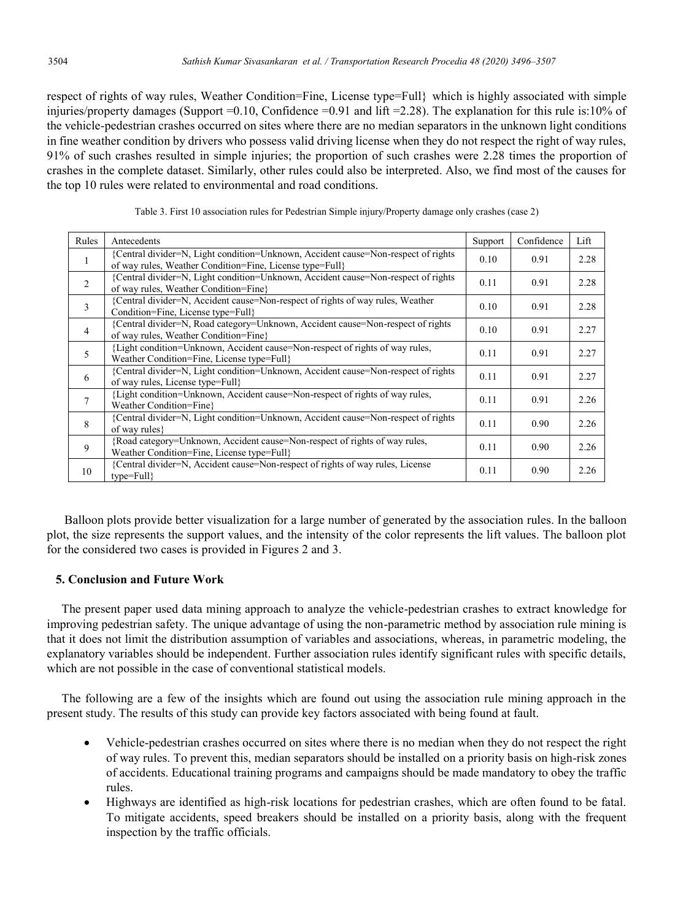respect of rights of way rules, Weather Condition=Fine, License type=Full} which is highly associated with simple injuries/property damages (Support  $=0.10$ , Confidence  $=0.91$  and lift  $=2.28$ ). The explanation for this rule is:10% of the vehicle-pedestrian crashes occurred on sites where there are no median separators in the unknown light conditions in fine weather condition by drivers who possess valid driving license when they do not respect the right of way rules, 91% of such crashes resulted in simple injuries; the proportion of such crashes were 2.28 times the proportion of crashes in the complete dataset. Similarly, other rules could also be interpreted. Also, we find most of the causes for the top 10 rules were related to environmental and road conditions.

| Rules          | Antecedents                                                                                                                                   | Support | Confidence | Lift |
|----------------|-----------------------------------------------------------------------------------------------------------------------------------------------|---------|------------|------|
|                | {Central divider=N, Light condition=Unknown, Accident cause=Non-respect of rights<br>of way rules, Weather Condition=Fine, License type=Full} | 0.10    | 0.91       | 2.28 |
| $\overline{2}$ | {Central divider=N, Light condition=Unknown, Accident cause=Non-respect of rights<br>of way rules, Weather Condition=Fine}                    | 0.11    | 0.91       | 2.28 |
| 3              | {Central divider=N, Accident cause=Non-respect of rights of way rules, Weather<br>Condition=Fine, License type=Full }                         | 0.10    | 0.91       | 2.28 |
| $\overline{4}$ | {Central divider=N, Road category=Unknown, Accident cause=Non-respect of rights<br>of way rules, Weather Condition=Fine                       | 0.10    | 0.91       | 2.27 |
| 5              | {Light condition=Unknown, Accident cause=Non-respect of rights of way rules,<br>Weather Condition=Fine, License type=Full}                    | 0.11    | 0.91       | 2.27 |
| 6              | {Central divider=N, Light condition=Unknown, Accident cause=Non-respect of rights<br>of way rules. License type=Full}                         | 0.11    | 0.91       | 2.27 |
| $\tau$         | {Light condition=Unknown, Accident cause=Non-respect of rights of way rules,<br>Weather Condition=Fine}                                       | 0.11    | 0.91       | 2.26 |
| 8              | {Central divider=N, Light condition=Unknown, Accident cause=Non-respect of rights<br>of way rules}                                            | 0.11    | 0.90       | 2.26 |
| 9              | {Road category=Unknown, Accident cause=Non-respect of rights of way rules,<br>Weather Condition=Fine, License type=Full}                      | 0.11    | 0.90       | 2.26 |
| 10             | {Central divider=N, Accident cause=Non-respect of rights of way rules, License<br>type=Full}                                                  | 0.11    | 0.90       | 2.26 |

Table 3. First 10 association rules for Pedestrian Simple injury/Property damage only crashes (case 2)

Balloon plots provide better visualization for a large number of generated by the association rules. In the balloon plot, the size represents the support values, and the intensity of the color represents the lift values. The balloon plot for the considered two cases is provided in Figures 2 and 3.

# **5. Conclusion and Future Work**

The present paper used data mining approach to analyze the vehicle-pedestrian crashes to extract knowledge for improving pedestrian safety. The unique advantage of using the non-parametric method by association rule mining is that it does not limit the distribution assumption of variables and associations, whereas, in parametric modeling, the explanatory variables should be independent. Further association rules identify significant rules with specific details, which are not possible in the case of conventional statistical models.

The following are a few of the insights which are found out using the association rule mining approach in the present study. The results of this study can provide key factors associated with being found at fault.

- Vehicle-pedestrian crashes occurred on sites where there is no median when they do not respect the right of way rules. To prevent this, median separators should be installed on a priority basis on high-risk zones of accidents. Educational training programs and campaigns should be made mandatory to obey the traffic rules.
- Highways are identified as high-risk locations for pedestrian crashes, which are often found to be fatal. To mitigate accidents, speed breakers should be installed on a priority basis, along with the frequent inspection by the traffic officials.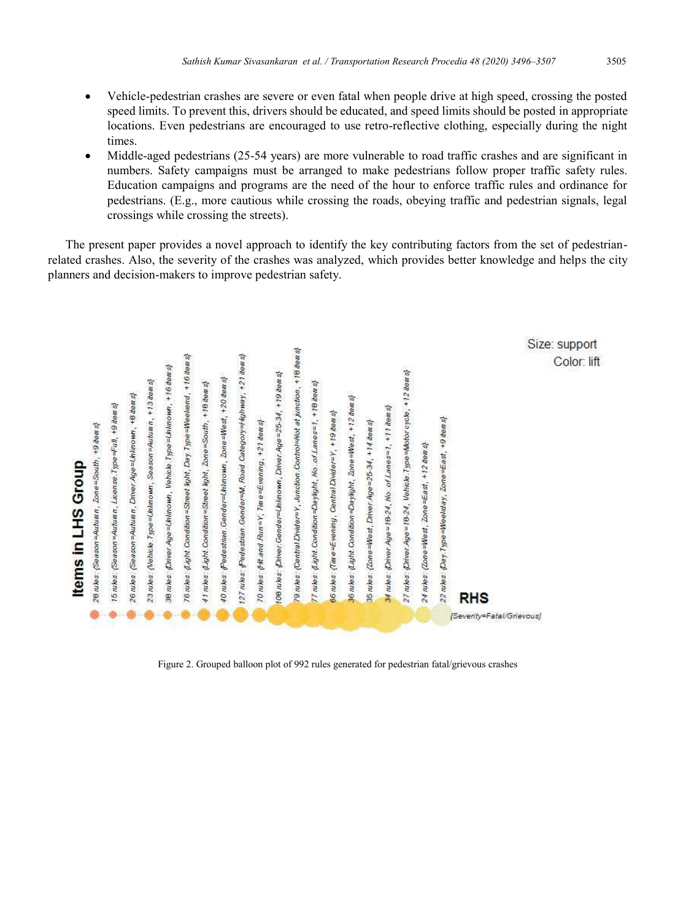- Vehicle-pedestrian crashes are severe or even fatal when people drive at high speed, crossing the posted speed limits. To prevent this, drivers should be educated, and speed limits should be posted in appropriate locations. Even pedestrians are encouraged to use retro-reflective clothing, especially during the night times.
- Middle-aged pedestrians (25-54 years) are more vulnerable to road traffic crashes and are significant in numbers. Safety campaigns must be arranged to make pedestrians follow proper traffic safety rules. Education campaigns and programs are the need of the hour to enforce traffic rules and ordinance for pedestrians. (E.g., more cautious while crossing the roads, obeying traffic and pedestrian signals, legal crossings while crossing the streets).

The present paper provides a novel approach to identify the key contributing factors from the set of pedestrianrelated crashes. Also, the severity of the crashes was analyzed, which provides better knowledge and helps the city planners and decision-makers to improve pedestrian safety.



Figure 2. Grouped balloon plot of 992 rules generated for pedestrian fatal/grievous crashes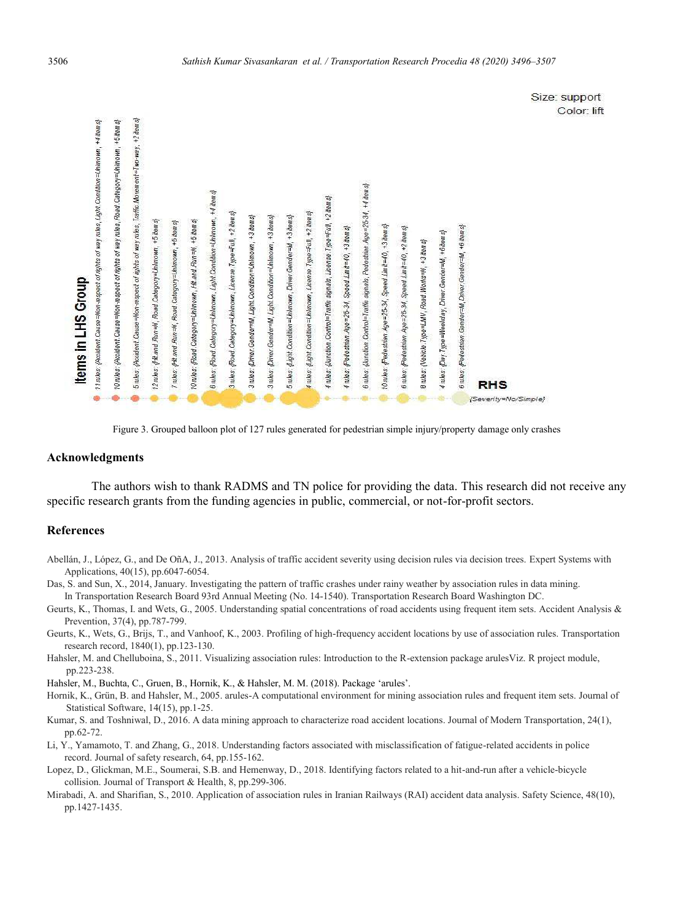

Figure 3. Grouped balloon plot of 127 rules generated for pedestrian simple injury/property damage only crashes

#### **Acknowledgments**

The authors wish to thank RADMS and TN police for providing the data. This research did not receive any specific research grants from the funding agencies in public, commercial, or not-for-profit sectors.

# **References**

- Abellán, J., López, G., and De OñA, J., 2013. Analysis of traffic accident severity using decision rules via decision trees. Expert Systems with Applications, 40(15), pp.6047-6054.
- Das, S. and Sun, X., 2014, January. Investigating the pattern of traffic crashes under rainy weather by association rules in data mining. In Transportation Research Board 93rd Annual Meeting (No. 14-1540). Transportation Research Board Washington DC.
- Geurts, K., Thomas, I. and Wets, G., 2005. Understanding spatial concentrations of road accidents using frequent item sets. Accident Analysis & Prevention, 37(4), pp.787-799.
- Geurts, K., Wets, G., Brijs, T., and Vanhoof, K., 2003. Profiling of high-frequency accident locations by use of association rules. Transportation research record, 1840(1), pp.123-130.
- Hahsler, M. and Chelluboina, S., 2011. Visualizing association rules: Introduction to the R-extension package arulesViz. R project module, pp.223-238.
- Hahsler, M., Buchta, C., Gruen, B., Hornik, K., & Hahsler, M. M. (2018). Package 'arules'.
- Hornik, K., Grün, B. and Hahsler, M., 2005. arules-A computational environment for mining association rules and frequent item sets. Journal of Statistical Software, 14(15), pp.1-25.
- Kumar, S. and Toshniwal, D., 2016. A data mining approach to characterize road accident locations. Journal of Modern Transportation, 24(1), pp.62-72.
- Li, Y., Yamamoto, T. and Zhang, G., 2018. Understanding factors associated with misclassification of fatigue-related accidents in police record. Journal of safety research, 64, pp.155-162.
- Lopez, D., Glickman, M.E., Soumerai, S.B. and Hemenway, D., 2018. Identifying factors related to a hit-and-run after a vehicle-bicycle collision. Journal of Transport & Health, 8, pp.299-306.
- Mirabadi, A. and Sharifian, S., 2010. Application of association rules in Iranian Railways (RAI) accident data analysis. Safety Science, 48(10), pp.1427-1435.